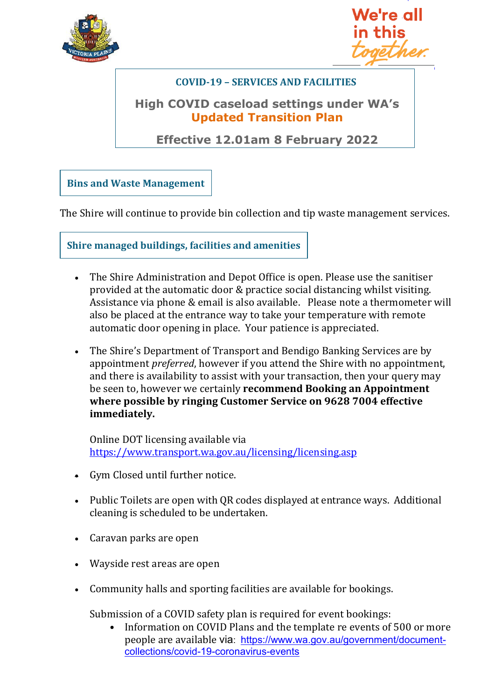



## **COVID-19 – SERVICES AND FACILITIES**

## **High COVID caseload settings under WA's Updated Transition Plan**

**Effective 12.01am 8 February 2022**

**Bins and Waste Management**

The Shire will continue to provide bin collection and tip waste management services.

**Shire managed buildings, facilities and amenities**

- The Shire Administration and Depot Office is open. Please use the sanitiser provided at the automatic door & practice social distancing whilst visiting. Assistance via phone & email is also available. Please note a thermometer will also be placed at the entrance way to take your temperature with remote automatic door opening in place. Your patience is appreciated.
- The Shire's Department of Transport and Bendigo Banking Services are by appointment *preferred*, however if you attend the Shire with no appointment, and there is availability to assist with your transaction, then your query may be seen to, however we certainly **recommend Booking an Appointment where possible by ringing Customer Service on 9628 7004 effective immediately.**

Online DOT licensing available via <https://www.transport.wa.gov.au/licensing/licensing.asp>

- Gym Closed until further notice.
- Public Toilets are open with QR codes displayed at entrance ways. Additional cleaning is scheduled to be undertaken.
- Caravan parks are open
- Wayside rest areas are open
- Community halls and sporting facilities are available for bookings.

Submission of a COVID safety plan is required for event bookings:

• Information on COVID Plans and the template re events of 500 or more people are available via: [https://www.wa.gov.au/government/document](https://www.wa.gov.au/government/document-collections/covid-19-coronavirus-events)[collections/covid-19-coronavirus-events](https://www.wa.gov.au/government/document-collections/covid-19-coronavirus-events)